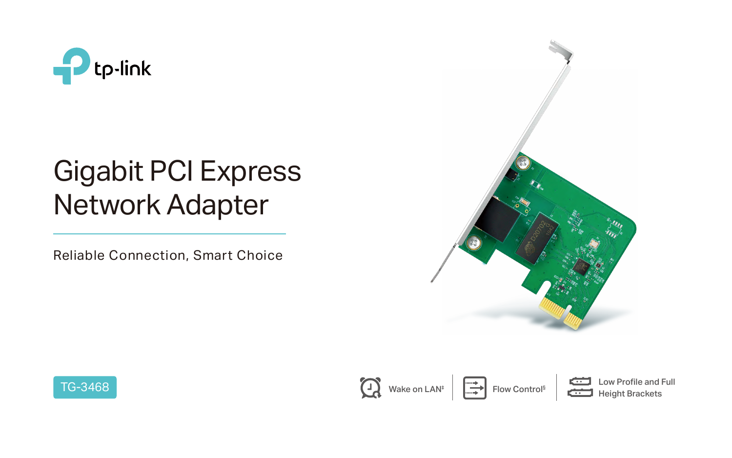

# Gigabit PCI Express Network Adapter



Reliable Connection, Smart Choice









Low Profile and Full<br>
Height Brackets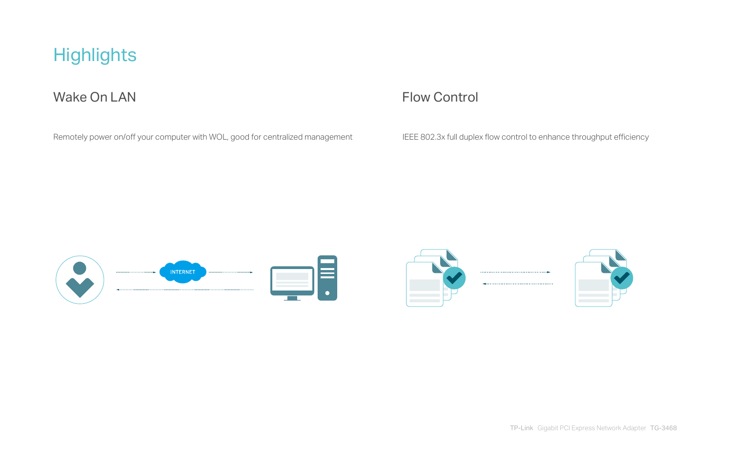## **Highlights**

### Wake On LAN Flow Control

Remotely power on/off your computer with WOL, good for centralized management IEEE 802.3x full duplex flow control to enhance throughput efficiency



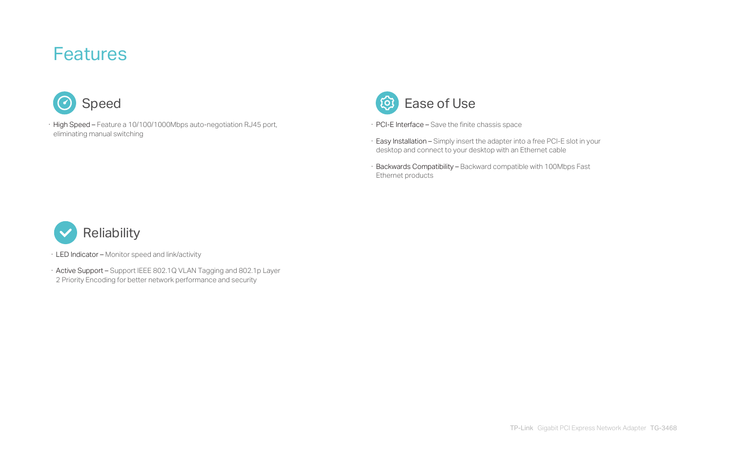· Easy Installation – Simply insert the adapter into a free PCI-E slot in your desktop and connect to your desktop with an Ethernet cable

- · PCI-E Interface Save the finite chassis space
- 
- Ethernet products

· Backwards Compatibility – Backward compatible with 100Mbps Fast



· High Speed – Feature a 10/100/1000Mbps auto-negotiation RJ45 port, eliminating manual switching





- · LED Indicator Monitor speed and link/activity
- · Active Support Support IEEE 802.1Q VLAN Tagging and 802.1p Layer 2 Priority Encoding for better network performance and security

### Features